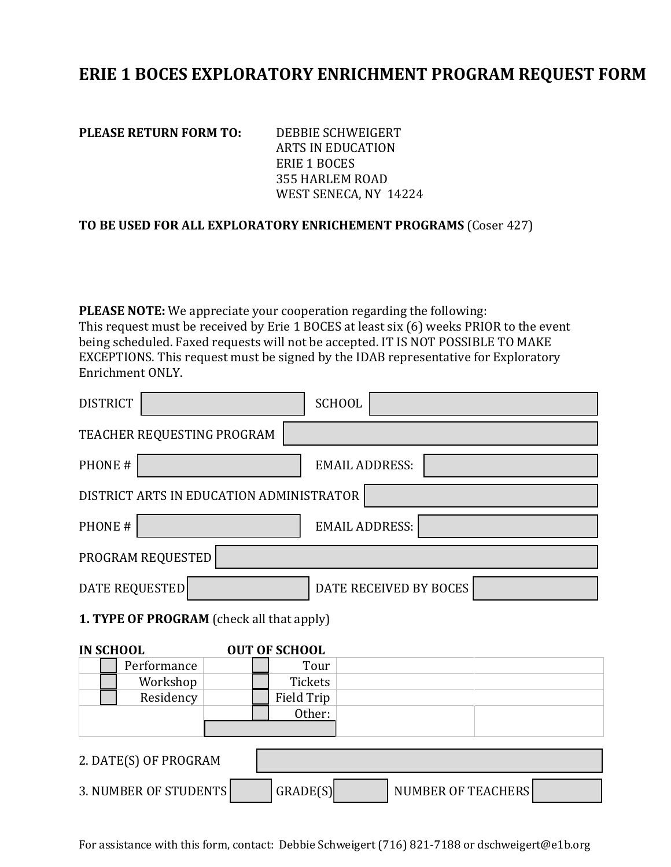## **ERIE 1 BOCES EXPLORATORY ENRICHMENT PROGRAM REQUEST FORM**

**PLEASE RETURN FORM TO:** DEBBIE SCHWEIGERT

ARTS IN EDUCATION ERIE 1 BOCES 355 HARLEM ROAD WEST SENECA, NY 14224

## **TO BE USED FOR ALL EXPLORATORY ENRICHEMENT PROGRAMS** (Coser 427)

**PLEASE NOTE:** We appreciate your cooperation regarding the following: This request must be received by Erie 1 BOCES at least six (6) weeks PRIOR to the event being scheduled. Faxed requests will not be accepted. IT IS NOT POSSIBLE TO MAKE EXCEPTIONS. This request must be signed by the IDAB representative for Exploratory Enrichment ONLY.

| <b>DISTRICT</b>                           | <b>SCHOOL</b>                         |  |  |  |  |  |
|-------------------------------------------|---------------------------------------|--|--|--|--|--|
| TEACHER REQUESTING PROGRAM                |                                       |  |  |  |  |  |
| PHONE #                                   | <b>EMAIL ADDRESS:</b>                 |  |  |  |  |  |
| DISTRICT ARTS IN EDUCATION ADMINISTRATOR  |                                       |  |  |  |  |  |
| PHONE #                                   | <b>EMAIL ADDRESS:</b>                 |  |  |  |  |  |
| PROGRAM REQUESTED                         |                                       |  |  |  |  |  |
| <b>DATE REQUESTED</b>                     | DATE RECEIVED BY BOCES                |  |  |  |  |  |
| 1. TYPE OF PROGRAM (check all that apply) |                                       |  |  |  |  |  |
| <b>OUT OF SCHOOL</b><br><b>IN SCHOOL</b>  |                                       |  |  |  |  |  |
| Performance                               | Tour                                  |  |  |  |  |  |
| Workshop                                  | <b>Tickets</b>                        |  |  |  |  |  |
| Residency                                 | <b>Field Trip</b>                     |  |  |  |  |  |
|                                           | Other:                                |  |  |  |  |  |
|                                           |                                       |  |  |  |  |  |
| 2. DATE(S) OF PROGRAM                     |                                       |  |  |  |  |  |
| <b>3. NUMBER OF STUDENTS</b>              | GRADE(S)<br><b>NUMBER OF TEACHERS</b> |  |  |  |  |  |

For assistance with this form, contact: Debbie Schweigert (716) 821-7188 or dschweigert@e1b.org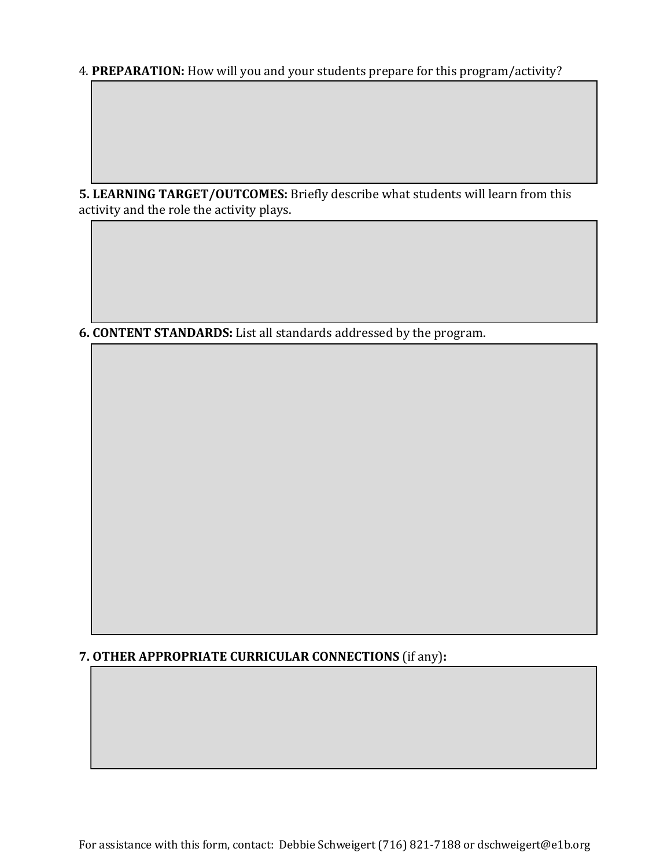4. **PREPARATION:** How will you and your students prepare for this program/activity?

**5. LEARNING TARGET/OUTCOMES:** Briefly describe what students will learn from this activity and the role the activity plays.

**6. CONTENT STANDARDS:** List all standards addressed by the program.

## **7. OTHER APPROPRIATE CURRICULAR CONNECTIONS** (if any)**:**